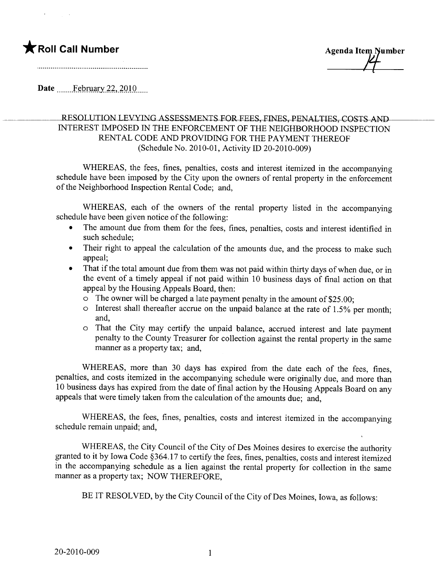## \* Roll Call Number **Agents** Agenda Item Number

Date  $-$  February 22, 2010 $-$ 

## RESOLUTION LEVYING ASSESSMENTS FOR FEES, FINES, PENALTIES, COSTS AND INTEREST IMPOSED IN THE ENFORCEMENT OF THE NEIGHBORHOOD INSPECTION RENTAL CODE AND PROVIDING FOR THE PAYMENT THEREOF (Schedule No. 2010-01, Activity ID 20-2010-009)

WHEREAS, the fees, fines, penalties, costs and interest itemized in the accompanying schedule have been imposed by the City upon the owners of rental property in the enforcement of the Neighborhood Inspection Rental Code; and,

WHEREAS, each of the owners of the rental property listed in the accompanying schedule have been given notice of the following:

- · The amount due from them for the fees, fines, penalties, costs and interest identified in such schedule;
- · Their right to appeal the calculation of the amounts due, and the process to make such appeal;
- That if the total amount due from them was not paid within thirty days of when due, or in the event of a timely appeal if not paid within 10 business days of final action on that appeal by the Housing Appeals Board, then:
	- $\circ$  The owner will be charged a late payment penalty in the amount of \$25.00;
	- $\circ$  Interest shall thereafter accrue on the unpaid balance at the rate of 1.5% per month; and,
	- o That the City may certify the unpaid balance, accrued interest and late payment penalty to the County Treasurer for collection against the rental property in the same manner as a property tax; and,

WHEREAS, more than 30 days has expired from the date each of the fees, fines, penalties, and costs itemized in the accompanying schedule were originally due, and more than 10 business days has expired from the date of final action by the Housing Appeals Board on any appeals that were timely taken from the calculation of the amounts due; and,

WHEREAS, the fees, fines, penalties, costs and interest itemized in the accompanying schedule remain unpaid; and,

WHEREAS, the City Council of the City of Des Moines desires to exercise the authority granted to it by Iowa Code §364.17 to certify the fees, fines, penalties, costs and interest itemized in the accompanying schedule as a lien against the rental property for collection in the same manner as a property tax; NOW THEREFORE,

BE IT RESOLVED, by the City Council of the City of Des Moines, Iowa, as follows: